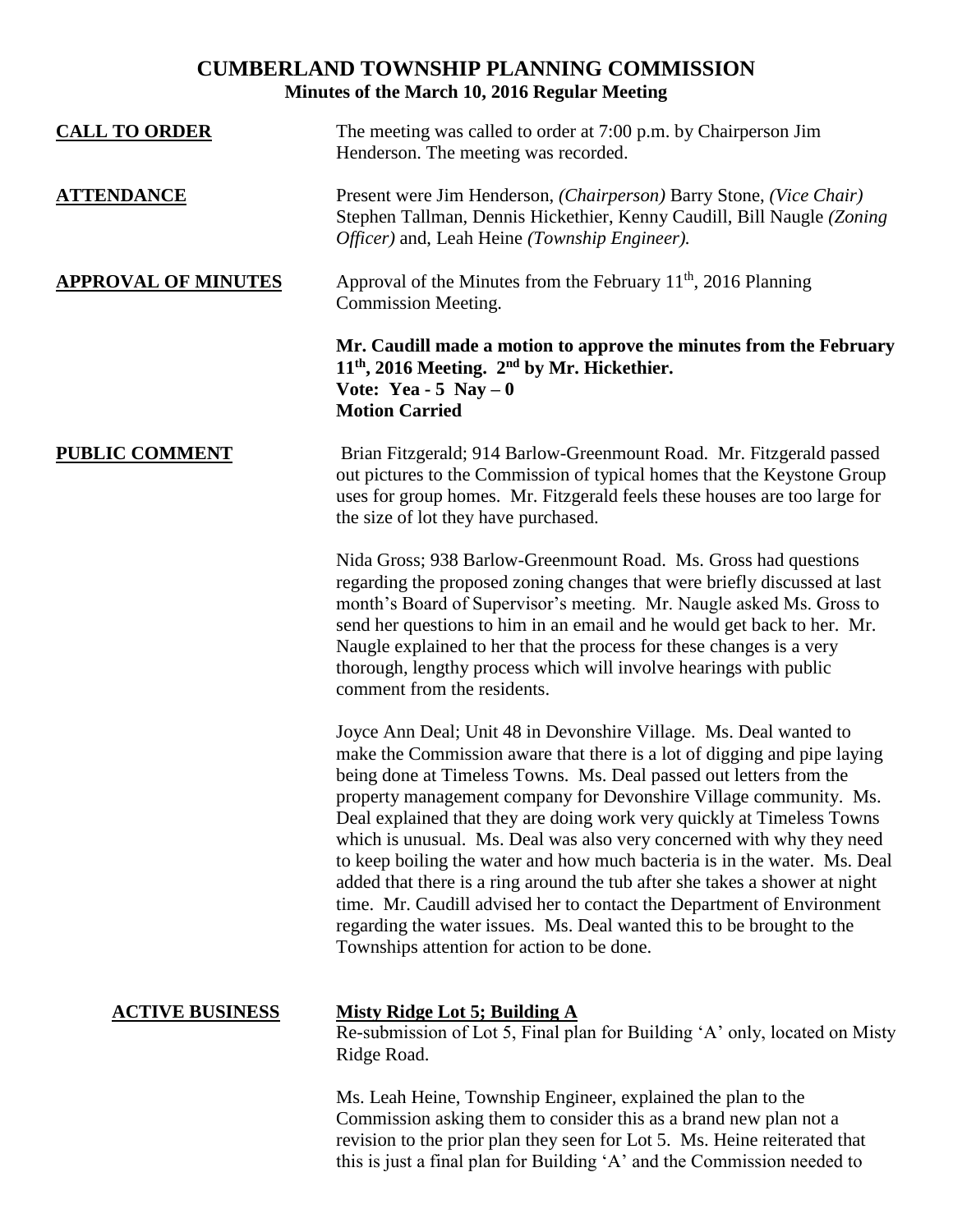## **CUMBERLAND TOWNSHIP PLANNING COMMISSION Minutes of the March 10, 2016 Regular Meeting**

| <b>CALL TO ORDER</b>       | The meeting was called to order at 7:00 p.m. by Chairperson Jim<br>Henderson. The meeting was recorded.                                                                                                                                                                                                                                                                                                                                                                                                                                                                                                                                                                                                                                                                                                  |
|----------------------------|----------------------------------------------------------------------------------------------------------------------------------------------------------------------------------------------------------------------------------------------------------------------------------------------------------------------------------------------------------------------------------------------------------------------------------------------------------------------------------------------------------------------------------------------------------------------------------------------------------------------------------------------------------------------------------------------------------------------------------------------------------------------------------------------------------|
| <b>ATTENDANCE</b>          | Present were Jim Henderson, (Chairperson) Barry Stone, (Vice Chair)<br>Stephen Tallman, Dennis Hickethier, Kenny Caudill, Bill Naugle (Zoning<br>Officer) and, Leah Heine (Township Engineer).                                                                                                                                                                                                                                                                                                                                                                                                                                                                                                                                                                                                           |
| <b>APPROVAL OF MINUTES</b> | Approval of the Minutes from the February 11 <sup>th</sup> , 2016 Planning<br>Commission Meeting.                                                                                                                                                                                                                                                                                                                                                                                                                                                                                                                                                                                                                                                                                                        |
|                            | Mr. Caudill made a motion to approve the minutes from the February<br>$11th$ , 2016 Meeting. $2nd$ by Mr. Hickethier.<br>Vote: Yea - 5 Nay $-0$<br><b>Motion Carried</b>                                                                                                                                                                                                                                                                                                                                                                                                                                                                                                                                                                                                                                 |
| <b>PUBLIC COMMENT</b>      | Brian Fitzgerald; 914 Barlow-Greenmount Road. Mr. Fitzgerald passed<br>out pictures to the Commission of typical homes that the Keystone Group<br>uses for group homes. Mr. Fitzgerald feels these houses are too large for<br>the size of lot they have purchased.                                                                                                                                                                                                                                                                                                                                                                                                                                                                                                                                      |
|                            | Nida Gross; 938 Barlow-Greenmount Road. Ms. Gross had questions<br>regarding the proposed zoning changes that were briefly discussed at last<br>month's Board of Supervisor's meeting. Mr. Naugle asked Ms. Gross to<br>send her questions to him in an email and he would get back to her. Mr.<br>Naugle explained to her that the process for these changes is a very<br>thorough, lengthy process which will involve hearings with public<br>comment from the residents.                                                                                                                                                                                                                                                                                                                              |
|                            | Joyce Ann Deal; Unit 48 in Devonshire Village. Ms. Deal wanted to<br>make the Commission aware that there is a lot of digging and pipe laying<br>being done at Timeless Towns. Ms. Deal passed out letters from the<br>property management company for Devonshire Village community. Ms.<br>Deal explained that they are doing work very quickly at Timeless Towns<br>which is unusual. Ms. Deal was also very concerned with why they need<br>to keep boiling the water and how much bacteria is in the water. Ms. Deal<br>added that there is a ring around the tub after she takes a shower at night<br>time. Mr. Caudill advised her to contact the Department of Environment<br>regarding the water issues. Ms. Deal wanted this to be brought to the<br>Townships attention for action to be done. |
| <b>ACTIVE BUSINESS</b>     | <b>Misty Ridge Lot 5; Building A</b><br>Re-submission of Lot 5, Final plan for Building 'A' only, located on Misty<br>Ridge Road.                                                                                                                                                                                                                                                                                                                                                                                                                                                                                                                                                                                                                                                                        |
|                            | Ms. Leah Heine, Township Engineer, explained the plan to the<br>Commission asking them to consider this as a brand new plan not a                                                                                                                                                                                                                                                                                                                                                                                                                                                                                                                                                                                                                                                                        |

revision to the prior plan they seen for Lot 5. Ms. Heine reiterated that this is just a final plan for Building 'A' and the Commission needed to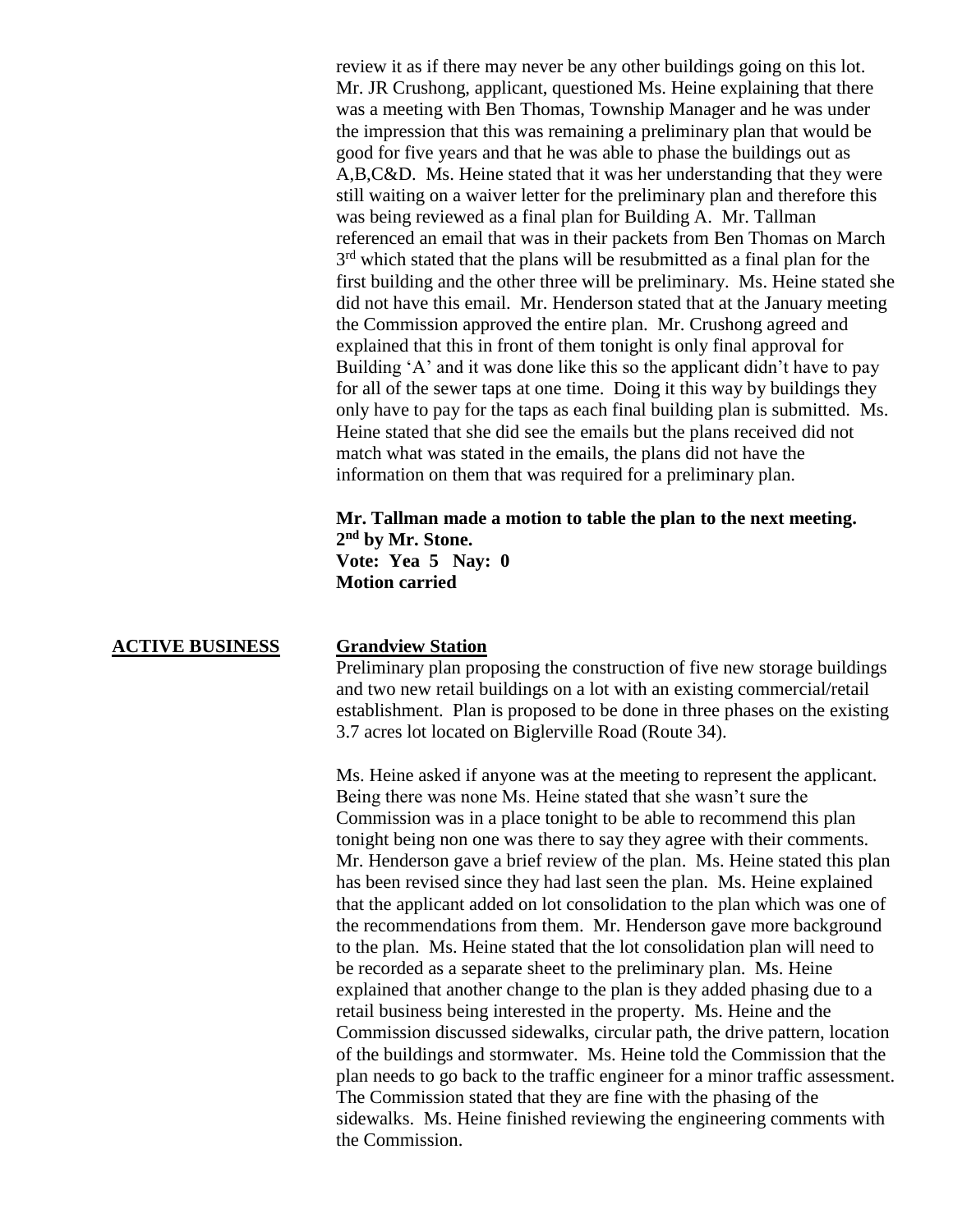review it as if there may never be any other buildings going on this lot. Mr. JR Crushong, applicant, questioned Ms. Heine explaining that there was a meeting with Ben Thomas, Township Manager and he was under the impression that this was remaining a preliminary plan that would be good for five years and that he was able to phase the buildings out as A,B,C&D. Ms. Heine stated that it was her understanding that they were still waiting on a waiver letter for the preliminary plan and therefore this was being reviewed as a final plan for Building A. Mr. Tallman referenced an email that was in their packets from Ben Thomas on March  $3<sup>rd</sup>$  which stated that the plans will be resubmitted as a final plan for the first building and the other three will be preliminary. Ms. Heine stated she did not have this email. Mr. Henderson stated that at the January meeting the Commission approved the entire plan. Mr. Crushong agreed and explained that this in front of them tonight is only final approval for Building 'A' and it was done like this so the applicant didn't have to pay for all of the sewer taps at one time. Doing it this way by buildings they only have to pay for the taps as each final building plan is submitted. Ms. Heine stated that she did see the emails but the plans received did not match what was stated in the emails, the plans did not have the information on them that was required for a preliminary plan.

**Mr. Tallman made a motion to table the plan to the next meeting. 2 nd by Mr. Stone. Vote: Yea 5 Nay: 0 Motion carried** 

## **ACTIVE BUSINESS Grandview Station**

Preliminary plan proposing the construction of five new storage buildings and two new retail buildings on a lot with an existing commercial/retail establishment. Plan is proposed to be done in three phases on the existing 3.7 acres lot located on Biglerville Road (Route 34).

Ms. Heine asked if anyone was at the meeting to represent the applicant. Being there was none Ms. Heine stated that she wasn't sure the Commission was in a place tonight to be able to recommend this plan tonight being non one was there to say they agree with their comments. Mr. Henderson gave a brief review of the plan. Ms. Heine stated this plan has been revised since they had last seen the plan. Ms. Heine explained that the applicant added on lot consolidation to the plan which was one of the recommendations from them. Mr. Henderson gave more background to the plan. Ms. Heine stated that the lot consolidation plan will need to be recorded as a separate sheet to the preliminary plan. Ms. Heine explained that another change to the plan is they added phasing due to a retail business being interested in the property. Ms. Heine and the Commission discussed sidewalks, circular path, the drive pattern, location of the buildings and stormwater. Ms. Heine told the Commission that the plan needs to go back to the traffic engineer for a minor traffic assessment. The Commission stated that they are fine with the phasing of the sidewalks. Ms. Heine finished reviewing the engineering comments with the Commission.